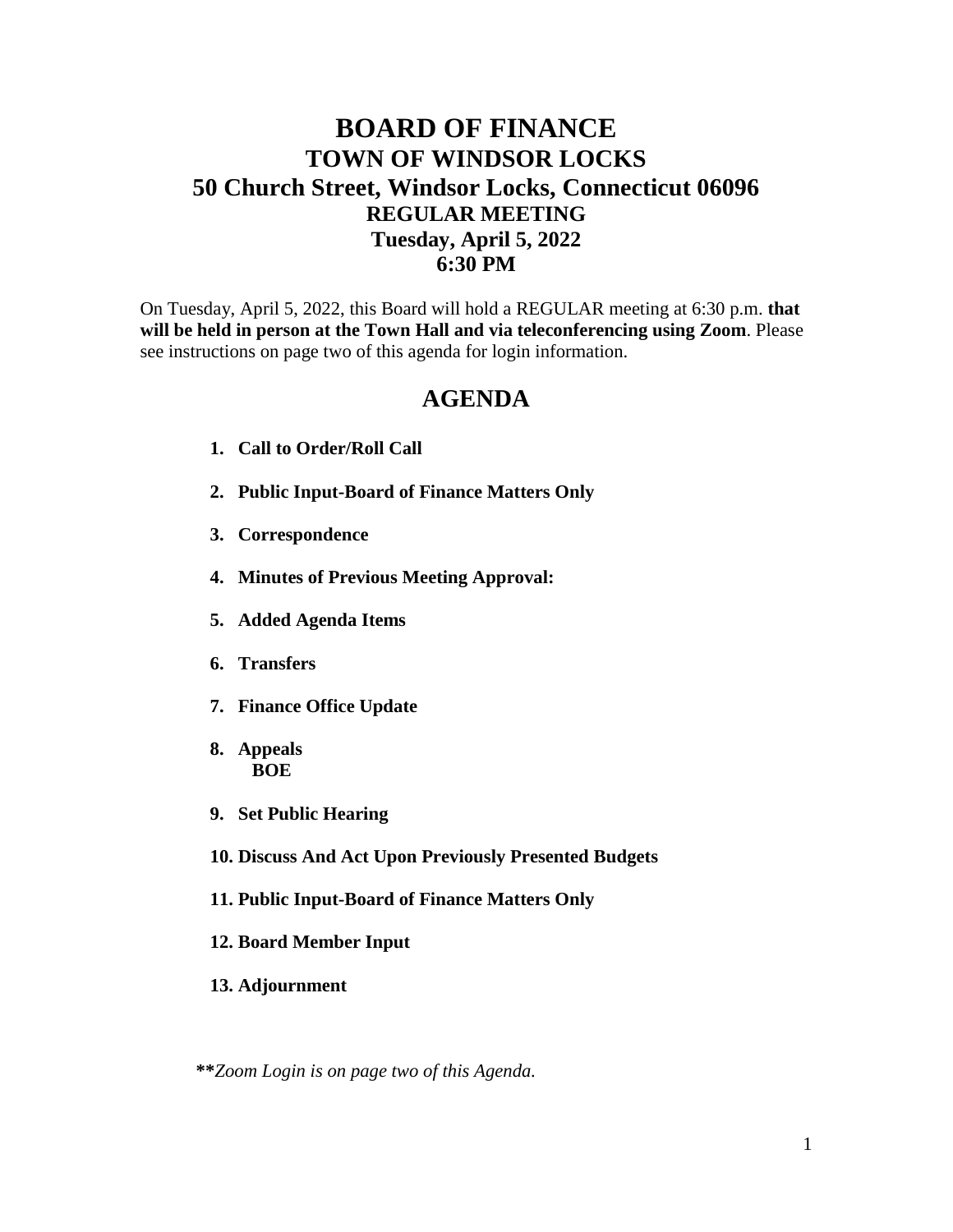## **BOARD OF FINANCE TOWN OF WINDSOR LOCKS 50 Church Street, Windsor Locks, Connecticut 06096 REGULAR MEETING Tuesday, April 5, 2022 6:30 PM**

On Tuesday, April 5, 2022, this Board will hold a REGULAR meeting at 6:30 p.m. **that will be held in person at the Town Hall and via teleconferencing using Zoom**. Please see instructions on page two of this agenda for login information.

## **AGENDA**

- **1. Call to Order/Roll Call**
- **2. Public Input-Board of Finance Matters Only**
- **3. Correspondence**
- **4. Minutes of Previous Meeting Approval:**
- **5. Added Agenda Items**
- **6. Transfers**
- **7. Finance Office Update**
- **8. Appeals BOE**
- **9. Set Public Hearing**
- **10. Discuss And Act Upon Previously Presented Budgets**
- **11. Public Input-Board of Finance Matters Only**
- **12. Board Member Input**
- **13. Adjournment**

**\*\****Zoom Login is on page two of this Agenda.*